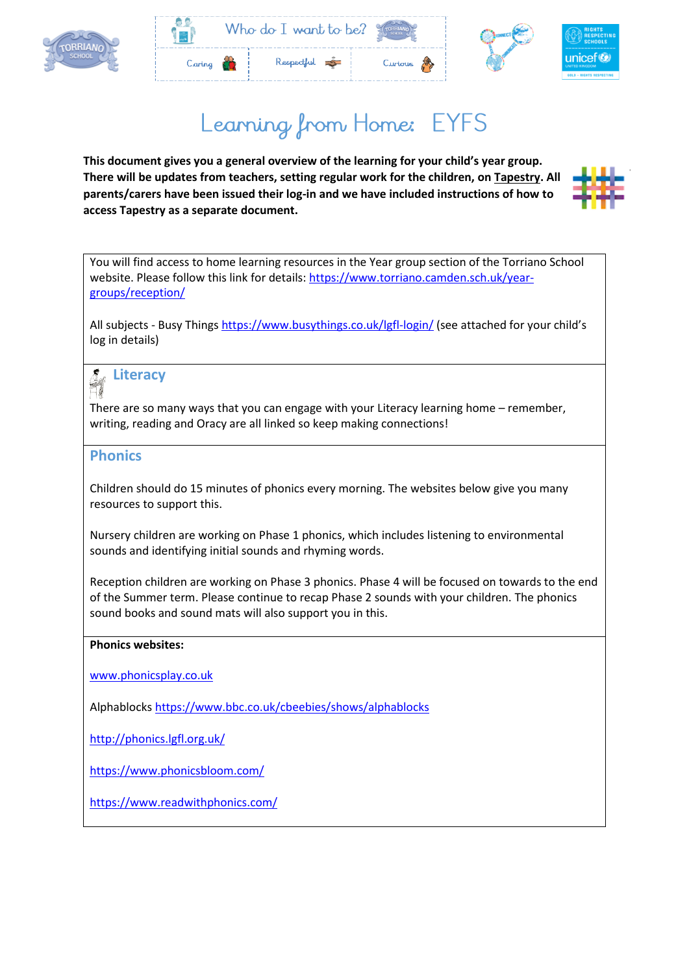



# Learning from Home: EYFS

**This document gives you a general overview of the learning for your child's year group. There will be updates from teachers, setting regular work for the children, on Tapestry. All parents/carers have been issued their log-in and we have included instructions of how to access Tapestry as a separate document.**



You will find access to home learning resources in the Year group section of the Torriano School website. Please follow this link for details: [https://www.torriano.camden.sch.uk/year](https://www.torriano.camden.sch.uk/year-groups/reception/)[groups/reception/](https://www.torriano.camden.sch.uk/year-groups/reception/)

All subjects - Busy Things<https://www.busythings.co.uk/lgfl-login/> (see attached for your child's log in details)

# **Literacy**

There are so many ways that you can engage with your Literacy learning home – remember, writing, reading and Oracy are all linked so keep making connections!

### **Phonics**

Children should do 15 minutes of phonics every morning. The websites below give you many resources to support this.

Nursery children are working on Phase 1 phonics, which includes listening to environmental sounds and identifying initial sounds and rhyming words.

Reception children are working on Phase 3 phonics. Phase 4 will be focused on towards to the end of the Summer term. Please continue to recap Phase 2 sounds with your children. The phonics sound books and sound mats will also support you in this.

#### **Phonics websites:**

[www.phonicsplay.co.uk](http://www.phonicsplay.co.uk/)

Alphablocks<https://www.bbc.co.uk/cbeebies/shows/alphablocks>

<http://phonics.lgfl.org.uk/>

<https://www.phonicsbloom.com/>

<https://www.readwithphonics.com/>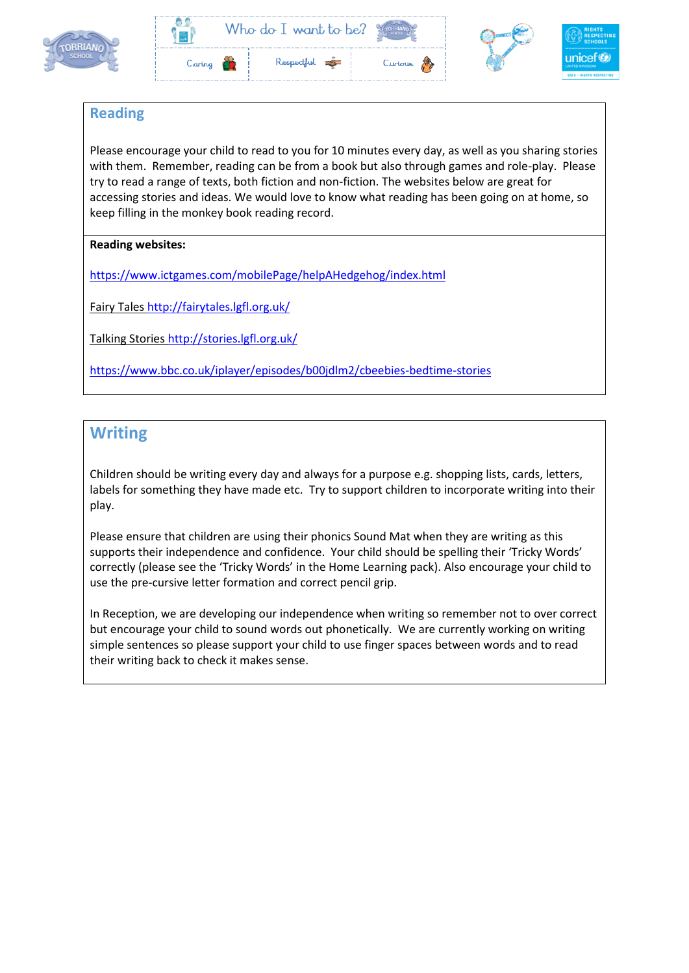



### **Reading**

Please encourage your child to read to you for 10 minutes every day, as well as you sharing stories with them. Remember, reading can be from a book but also through games and role-play. Please try to read a range of texts, both fiction and non-fiction. The websites below are great for accessing stories and ideas. We would love to know what reading has been going on at home, so keep filling in the monkey book reading record.

### **Reading websites:**

<https://www.ictgames.com/mobilePage/helpAHedgehog/index.html>

Fairy Tales<http://fairytales.lgfl.org.uk/>

Talking Stories<http://stories.lgfl.org.uk/>

<https://www.bbc.co.uk/iplayer/episodes/b00jdlm2/cbeebies-bedtime-stories>

### **Writing**

Children should be writing every day and always for a purpose e.g. shopping lists, cards, letters, labels for something they have made etc. Try to support children to incorporate writing into their play.

Please ensure that children are using their phonics Sound Mat when they are writing as this supports their independence and confidence. Your child should be spelling their 'Tricky Words' correctly (please see the 'Tricky Words' in the Home Learning pack). Also encourage your child to use the pre-cursive letter formation and correct pencil grip.

In Reception, we are developing our independence when writing so remember not to over correct but encourage your child to sound words out phonetically. We are currently working on writing simple sentences so please support your child to use finger spaces between words and to read their writing back to check it makes sense.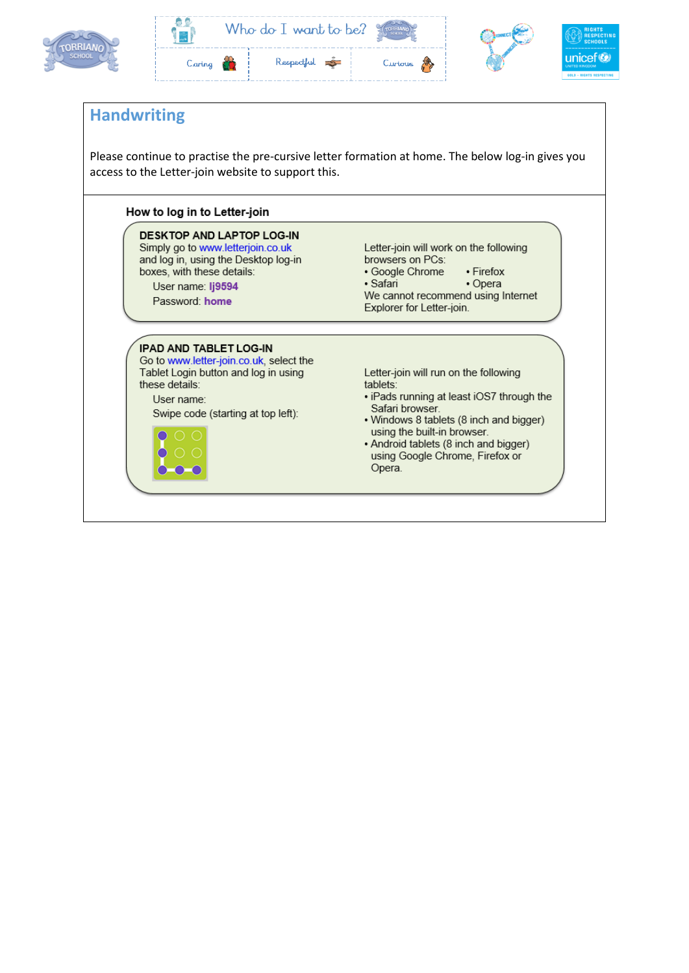





### **Handwriting**

Please continue to practise the pre-cursive letter formation at home. The below log-in gives you access to the Letter-join website to support this.

#### How to log in to Letter-join

**DESKTOP AND LAPTOP LOG-IN** Simply go to www.letterjoin.co.uk and log in, using the Desktop log-in boxes, with these details:

User name: Ij9594 Password: home

Letter-join will work on the following browsers on PCs:

· Google Chrome • Firefox

• Opera · Safari We cannot recommend using Internet Explorer for Letter-join.

#### **IPAD AND TABLET LOG-IN**

Go to www.letter-join.co.uk, select the Tablet Login button and log in using these details: User name:

Swipe code (starting at top left):



Letter-join will run on the following tablets:

- iPads running at least iOS7 through the Safari browser.
- Windows 8 tablets (8 inch and bigger) using the built-in browser.
- Android tablets (8 inch and bigger) using Google Chrome, Firefox or Opera.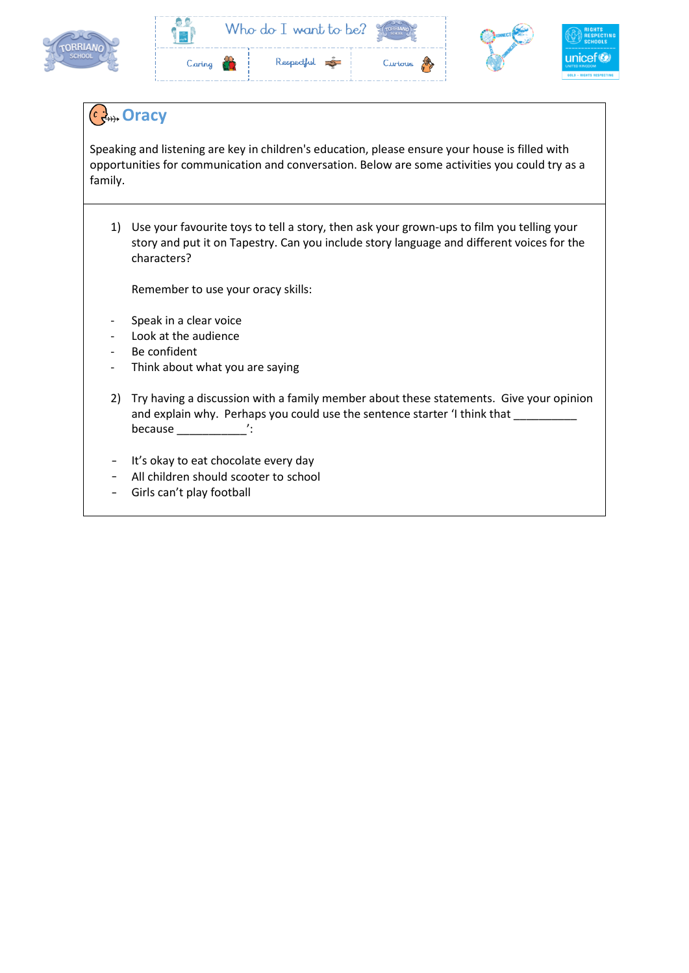

|        | Who do I want to be? |              |         |  |
|--------|----------------------|--------------|---------|--|
| Caring |                      | Respectful - | Curious |  |

### **Oracy**

Speaking and listening are key in children's education, please ensure your house is filled with opportunities for communication and conversation. Below are some activities you could try as a family.

1) Use your favourite toys to tell a story, then ask your grown-ups to film you telling your story and put it on Tapestry. Can you include story language and different voices for the characters?

Remember to use your oracy skills:

- Speak in a clear voice
- Look at the audience
- Be confident
- Think about what you are saying
- 2) Try having a discussion with a family member about these statements. Give your opinion and explain why. Perhaps you could use the sentence starter 'I think that because the case of the case of the case of the contract of the contract of the contract of the contract of the contract of the contract of the contract of the contract of the contract of the contract of the contract of th
- It's okay to eat chocolate every day
- All children should scooter to school
- Girls can't play football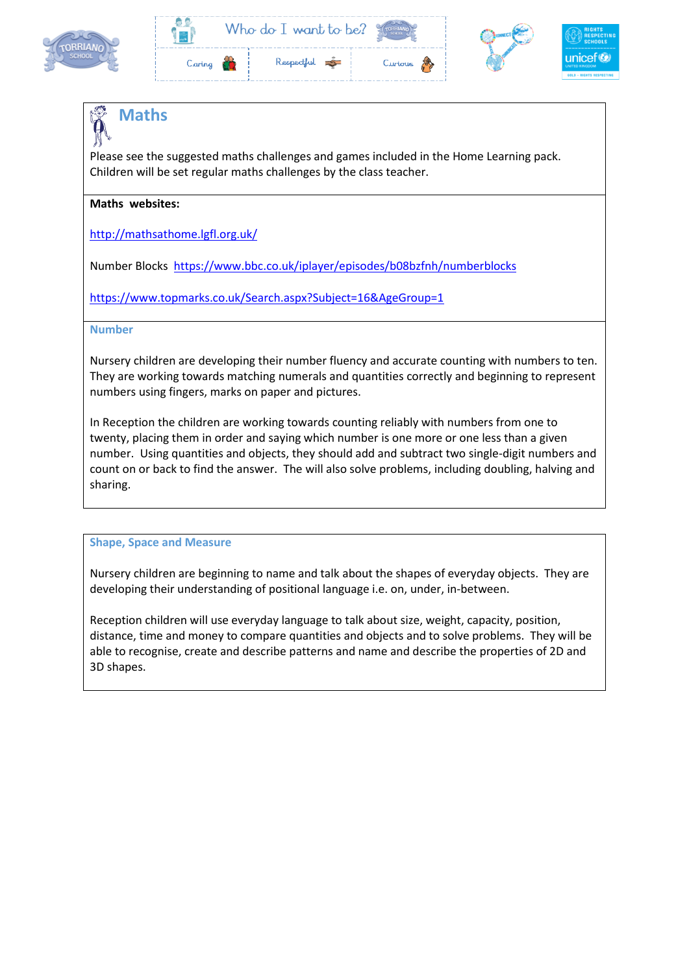







# **Maths**

Please see the suggested maths challenges and games included in the Home Learning pack. Children will be set regular maths challenges by the class teacher.

#### **Maths websites:**

<http://mathsathome.lgfl.org.uk/>

Number Blocks <https://www.bbc.co.uk/iplayer/episodes/b08bzfnh/numberblocks>

<https://www.topmarks.co.uk/Search.aspx?Subject=16&AgeGroup=1>

#### **Number**

Nursery children are developing their number fluency and accurate counting with numbers to ten. They are working towards matching numerals and quantities correctly and beginning to represent numbers using fingers, marks on paper and pictures.

In Reception the children are working towards counting reliably with numbers from one to twenty, placing them in order and saying which number is one more or one less than a given number. Using quantities and objects, they should add and subtract two single-digit numbers and count on or back to find the answer. The will also solve problems, including doubling, halving and sharing.

#### **Shape, Space and Measure**

Nursery children are beginning to name and talk about the shapes of everyday objects. They are developing their understanding of positional language i.e. on, under, in-between.

Reception children will use everyday language to talk about size, weight, capacity, position, distance, time and money to compare quantities and objects and to solve problems. They will be able to recognise, create and describe patterns and name and describe the properties of 2D and 3D shapes.